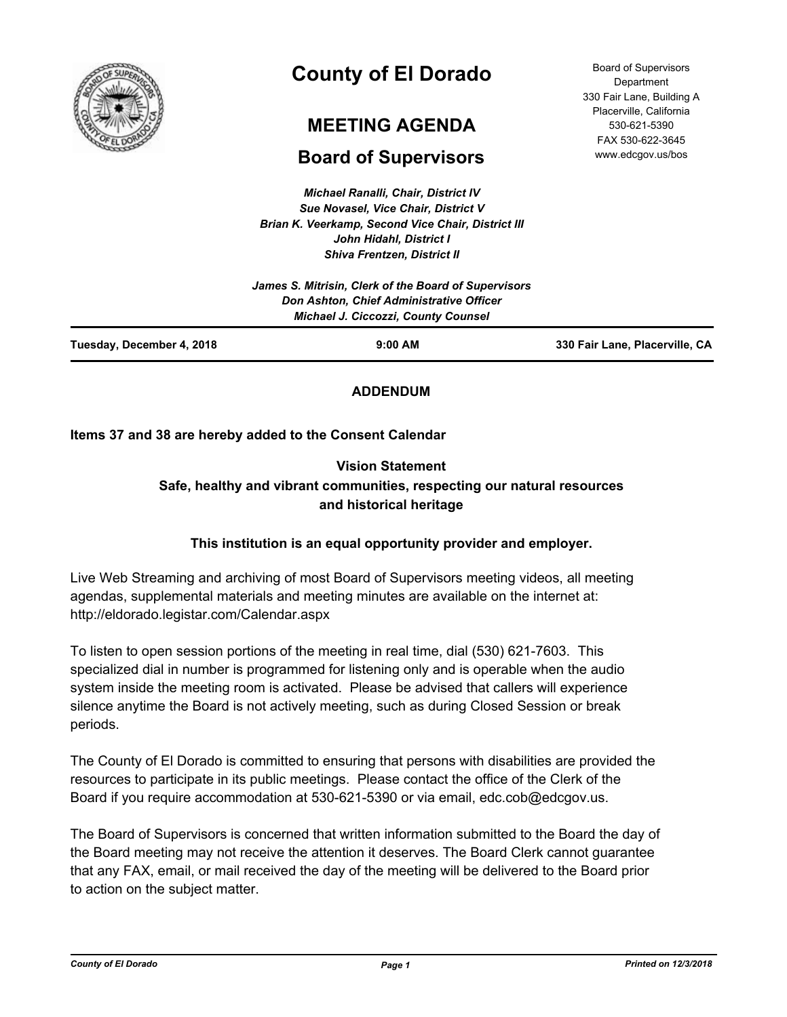

# **County of El Dorado**

## **MEETING AGENDA**

## **Board of Supervisors**

*Michael Ranalli, Chair, District IV Sue Novasel, Vice Chair, District V Brian K. Veerkamp, Second Vice Chair, District III John Hidahl, District I*

| www.edcgov.us/bos |
|-------------------|
|                   |
|                   |
|                   |
|                   |
|                   |
|                   |

Board of Supervisors Department 330 Fair Lane, Building A Placerville, California 530-621-5390 FAX 530-622-3645

|                           | James S. Mitrisin, Clerk of the Board of Supervisors<br>Don Ashton, Chief Administrative Officer<br><b>Michael J. Ciccozzi, County Counsel</b> |                                |
|---------------------------|------------------------------------------------------------------------------------------------------------------------------------------------|--------------------------------|
| Tuesday, December 4, 2018 | $9:00$ AM                                                                                                                                      | 330 Fair Lane, Placerville, CA |

## **ADDENDUM**

## **Items 37 and 38 are hereby added to the Consent Calendar**

## **Vision Statement Safe, healthy and vibrant communities, respecting our natural resources and historical heritage**

## **This institution is an equal opportunity provider and employer.**

Live Web Streaming and archiving of most Board of Supervisors meeting videos, all meeting agendas, supplemental materials and meeting minutes are available on the internet at: http://eldorado.legistar.com/Calendar.aspx

To listen to open session portions of the meeting in real time, dial (530) 621-7603. This specialized dial in number is programmed for listening only and is operable when the audio system inside the meeting room is activated. Please be advised that callers will experience silence anytime the Board is not actively meeting, such as during Closed Session or break periods.

The County of El Dorado is committed to ensuring that persons with disabilities are provided the resources to participate in its public meetings. Please contact the office of the Clerk of the Board if you require accommodation at 530-621-5390 or via email, edc.cob@edcgov.us.

The Board of Supervisors is concerned that written information submitted to the Board the day of the Board meeting may not receive the attention it deserves. The Board Clerk cannot guarantee that any FAX, email, or mail received the day of the meeting will be delivered to the Board prior to action on the subject matter.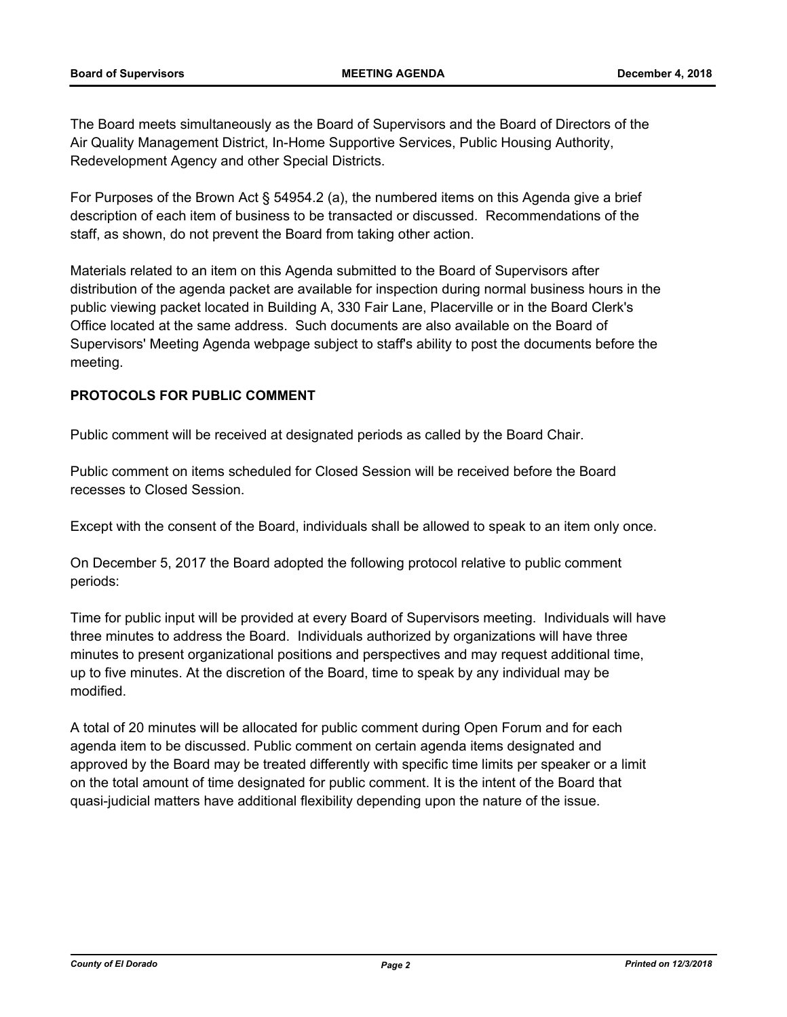The Board meets simultaneously as the Board of Supervisors and the Board of Directors of the Air Quality Management District, In-Home Supportive Services, Public Housing Authority, Redevelopment Agency and other Special Districts.

For Purposes of the Brown Act § 54954.2 (a), the numbered items on this Agenda give a brief description of each item of business to be transacted or discussed. Recommendations of the staff, as shown, do not prevent the Board from taking other action.

Materials related to an item on this Agenda submitted to the Board of Supervisors after distribution of the agenda packet are available for inspection during normal business hours in the public viewing packet located in Building A, 330 Fair Lane, Placerville or in the Board Clerk's Office located at the same address. Such documents are also available on the Board of Supervisors' Meeting Agenda webpage subject to staff's ability to post the documents before the meeting.

## **PROTOCOLS FOR PUBLIC COMMENT**

Public comment will be received at designated periods as called by the Board Chair.

Public comment on items scheduled for Closed Session will be received before the Board recesses to Closed Session.

Except with the consent of the Board, individuals shall be allowed to speak to an item only once.

On December 5, 2017 the Board adopted the following protocol relative to public comment periods:

Time for public input will be provided at every Board of Supervisors meeting. Individuals will have three minutes to address the Board. Individuals authorized by organizations will have three minutes to present organizational positions and perspectives and may request additional time, up to five minutes. At the discretion of the Board, time to speak by any individual may be modified.

A total of 20 minutes will be allocated for public comment during Open Forum and for each agenda item to be discussed. Public comment on certain agenda items designated and approved by the Board may be treated differently with specific time limits per speaker or a limit on the total amount of time designated for public comment. It is the intent of the Board that quasi-judicial matters have additional flexibility depending upon the nature of the issue.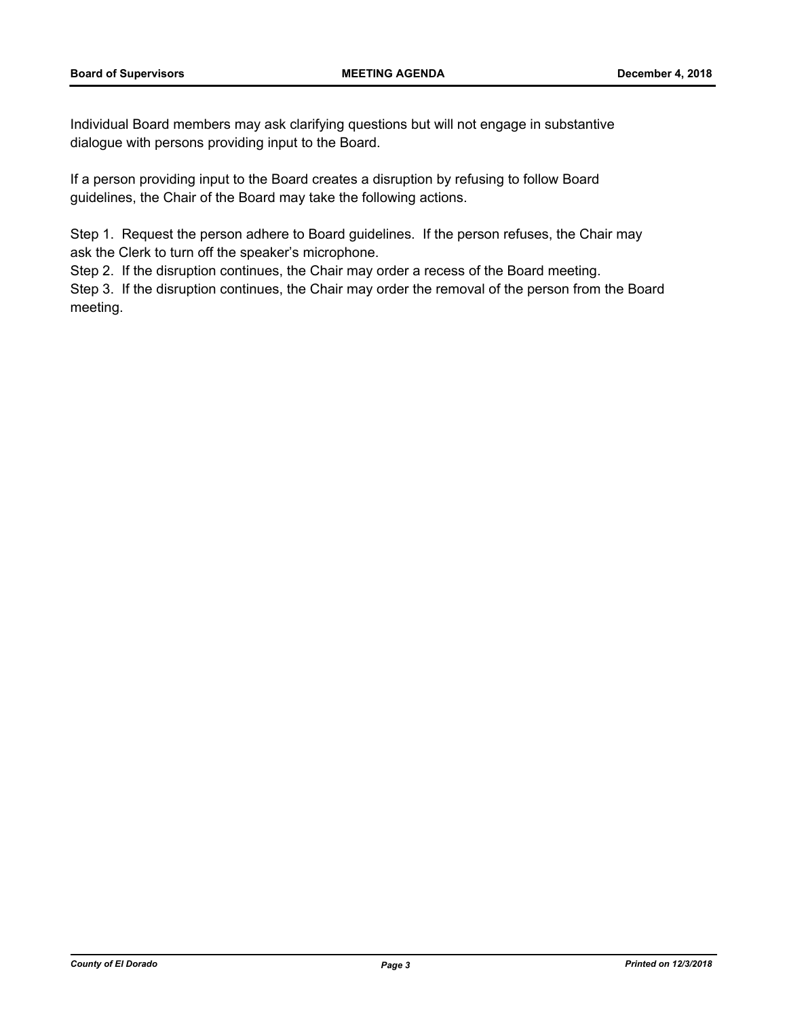Individual Board members may ask clarifying questions but will not engage in substantive dialogue with persons providing input to the Board.

If a person providing input to the Board creates a disruption by refusing to follow Board guidelines, the Chair of the Board may take the following actions.

Step 1. Request the person adhere to Board guidelines. If the person refuses, the Chair may ask the Clerk to turn off the speaker's microphone.

Step 2. If the disruption continues, the Chair may order a recess of the Board meeting.

Step 3. If the disruption continues, the Chair may order the removal of the person from the Board meeting.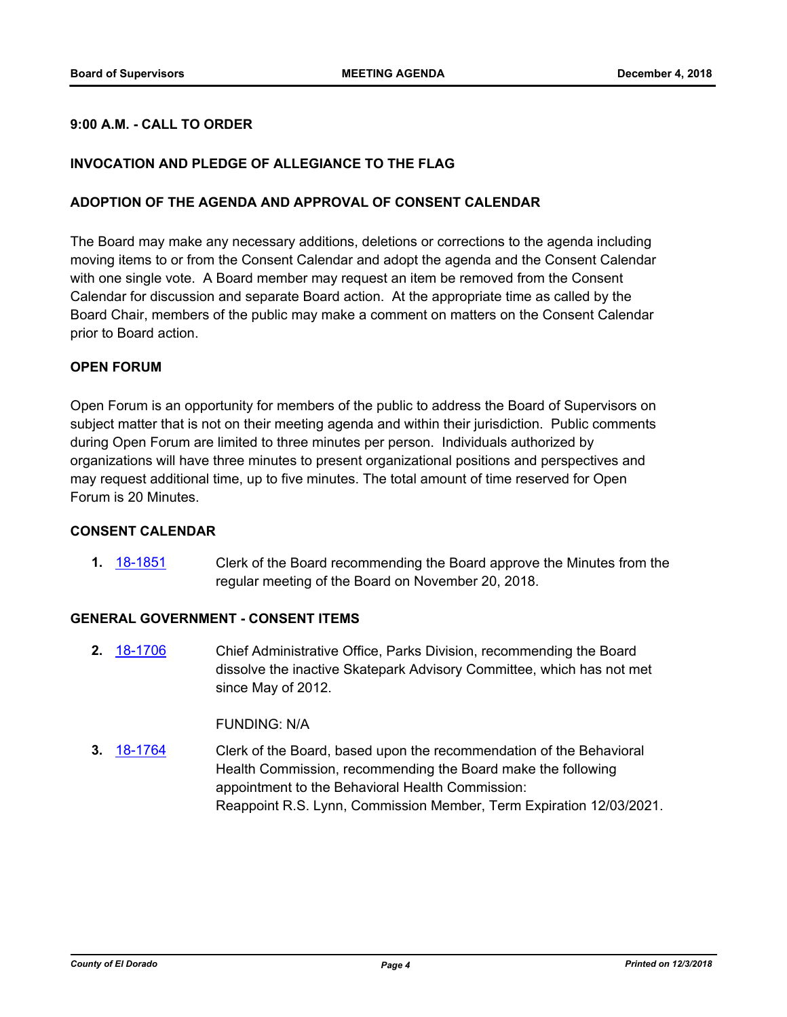## **9:00 A.M. - CALL TO ORDER**

## **INVOCATION AND PLEDGE OF ALLEGIANCE TO THE FLAG**

#### **ADOPTION OF THE AGENDA AND APPROVAL OF CONSENT CALENDAR**

The Board may make any necessary additions, deletions or corrections to the agenda including moving items to or from the Consent Calendar and adopt the agenda and the Consent Calendar with one single vote. A Board member may request an item be removed from the Consent Calendar for discussion and separate Board action. At the appropriate time as called by the Board Chair, members of the public may make a comment on matters on the Consent Calendar prior to Board action.

#### **OPEN FORUM**

Open Forum is an opportunity for members of the public to address the Board of Supervisors on subject matter that is not on their meeting agenda and within their jurisdiction. Public comments during Open Forum are limited to three minutes per person. Individuals authorized by organizations will have three minutes to present organizational positions and perspectives and may request additional time, up to five minutes. The total amount of time reserved for Open Forum is 20 Minutes.

#### **CONSENT CALENDAR**

**1.** [18-1851](http://eldorado.legistar.com/gateway.aspx?m=l&id=/matter.aspx?key=25201) Clerk of the Board recommending the Board approve the Minutes from the regular meeting of the Board on November 20, 2018.

#### **GENERAL GOVERNMENT - CONSENT ITEMS**

**2.** [18-1706](http://eldorado.legistar.com/gateway.aspx?m=l&id=/matter.aspx?key=25057) Chief Administrative Office, Parks Division, recommending the Board dissolve the inactive Skatepark Advisory Committee, which has not met since May of 2012.

#### FUNDING: N/A

**3.** [18-1764](http://eldorado.legistar.com/gateway.aspx?m=l&id=/matter.aspx?key=25115) Clerk of the Board, based upon the recommendation of the Behavioral Health Commission, recommending the Board make the following appointment to the Behavioral Health Commission: Reappoint R.S. Lynn, Commission Member, Term Expiration 12/03/2021.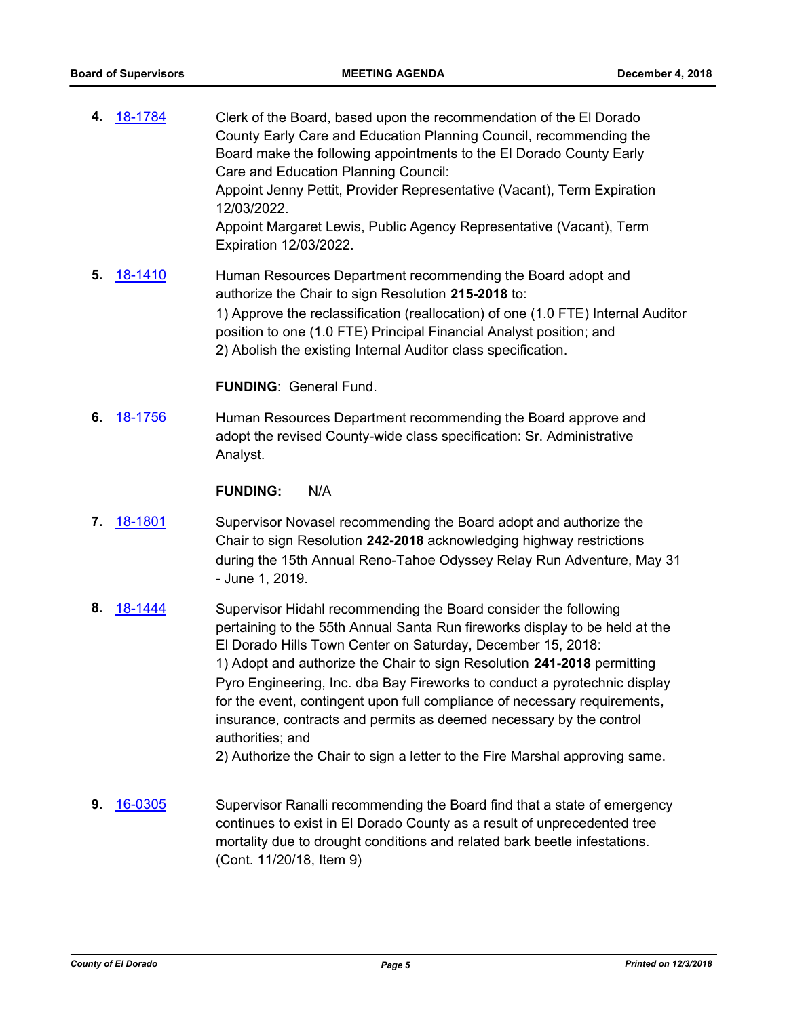- **4.** [18-1784](http://eldorado.legistar.com/gateway.aspx?m=l&id=/matter.aspx?key=25135) Clerk of the Board, based upon the recommendation of the El Dorado County Early Care and Education Planning Council, recommending the Board make the following appointments to the El Dorado County Early Care and Education Planning Council: Appoint Jenny Pettit, Provider Representative (Vacant), Term Expiration 12/03/2022. Appoint Margaret Lewis, Public Agency Representative (Vacant), Term Expiration 12/03/2022.
- **5.** [18-1410](http://eldorado.legistar.com/gateway.aspx?m=l&id=/matter.aspx?key=24762) Human Resources Department recommending the Board adopt and authorize the Chair to sign Resolution **215-2018** to: 1) Approve the reclassification (reallocation) of one (1.0 FTE) Internal Auditor position to one (1.0 FTE) Principal Financial Analyst position; and 2) Abolish the existing Internal Auditor class specification.

#### **FUNDING**: General Fund.

**6.** [18-1756](http://eldorado.legistar.com/gateway.aspx?m=l&id=/matter.aspx?key=25107) Human Resources Department recommending the Board approve and adopt the revised County-wide class specification: Sr. Administrative Analyst.

#### **FUNDING:** N/A

- **7.** [18-1801](http://eldorado.legistar.com/gateway.aspx?m=l&id=/matter.aspx?key=25152) Supervisor Novasel recommending the Board adopt and authorize the Chair to sign Resolution **242-2018** acknowledging highway restrictions during the 15th Annual Reno-Tahoe Odyssey Relay Run Adventure, May 31 - June 1, 2019.
- **8.** [18-1444](http://eldorado.legistar.com/gateway.aspx?m=l&id=/matter.aspx?key=24796) Supervisor Hidahl recommending the Board consider the following pertaining to the 55th Annual Santa Run fireworks display to be held at the El Dorado Hills Town Center on Saturday, December 15, 2018: 1) Adopt and authorize the Chair to sign Resolution **241-2018** permitting Pyro Engineering, Inc. dba Bay Fireworks to conduct a pyrotechnic display for the event, contingent upon full compliance of necessary requirements, insurance, contracts and permits as deemed necessary by the control authorities; and

2) Authorize the Chair to sign a letter to the Fire Marshal approving same.

**9.** [16-0305](http://eldorado.legistar.com/gateway.aspx?m=l&id=/matter.aspx?key=20961) Supervisor Ranalli recommending the Board find that a state of emergency continues to exist in El Dorado County as a result of unprecedented tree mortality due to drought conditions and related bark beetle infestations. (Cont. 11/20/18, Item 9)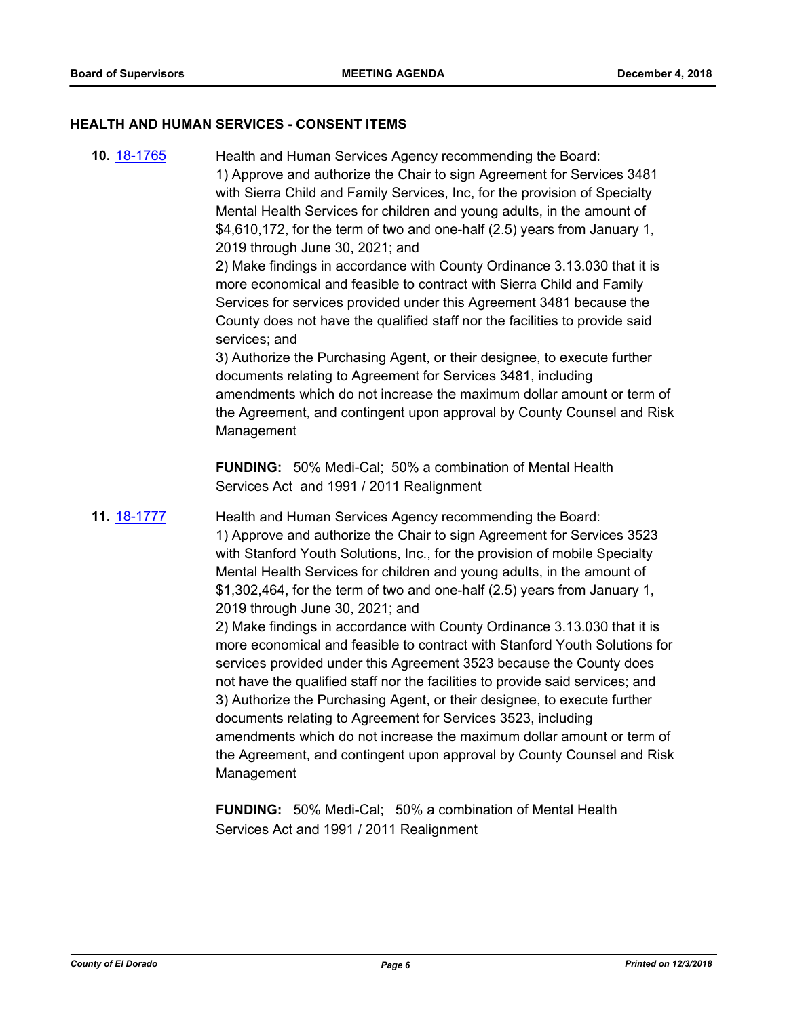#### **HEALTH AND HUMAN SERVICES - CONSENT ITEMS**

**10.** [18-1765](http://eldorado.legistar.com/gateway.aspx?m=l&id=/matter.aspx?key=25116) Health and Human Services Agency recommending the Board: 1) Approve and authorize the Chair to sign Agreement for Services 3481 with Sierra Child and Family Services, Inc, for the provision of Specialty Mental Health Services for children and young adults, in the amount of \$4,610,172, for the term of two and one-half (2.5) years from January 1, 2019 through June 30, 2021; and 2) Make findings in accordance with County Ordinance 3.13.030 that it is more economical and feasible to contract with Sierra Child and Family Services for services provided under this Agreement 3481 because the County does not have the qualified staff nor the facilities to provide said services; and 3) Authorize the Purchasing Agent, or their designee, to execute further documents relating to Agreement for Services 3481, including amendments which do not increase the maximum dollar amount or term of the Agreement, and contingent upon approval by County Counsel and Risk Management **FUNDING:** 50% Medi-Cal; 50% a combination of Mental Health Services Act and 1991 / 2011 Realignment **11.** [18-1777](http://eldorado.legistar.com/gateway.aspx?m=l&id=/matter.aspx?key=25128) Health and Human Services Agency recommending the Board: 1) Approve and authorize the Chair to sign Agreement for Services 3523 with Stanford Youth Solutions, Inc., for the provision of mobile Specialty Mental Health Services for children and young adults, in the amount of \$1,302,464, for the term of two and one-half (2.5) years from January 1, 2019 through June 30, 2021; and 2) Make findings in accordance with County Ordinance 3.13.030 that it is more economical and feasible to contract with Stanford Youth Solutions for services provided under this Agreement 3523 because the County does not have the qualified staff nor the facilities to provide said services; and 3) Authorize the Purchasing Agent, or their designee, to execute further documents relating to Agreement for Services 3523, including amendments which do not increase the maximum dollar amount or term of the Agreement, and contingent upon approval by County Counsel and Risk Management

**FUNDING:** 50% Medi-Cal; 50% a combination of Mental Health Services Act and 1991 / 2011 Realignment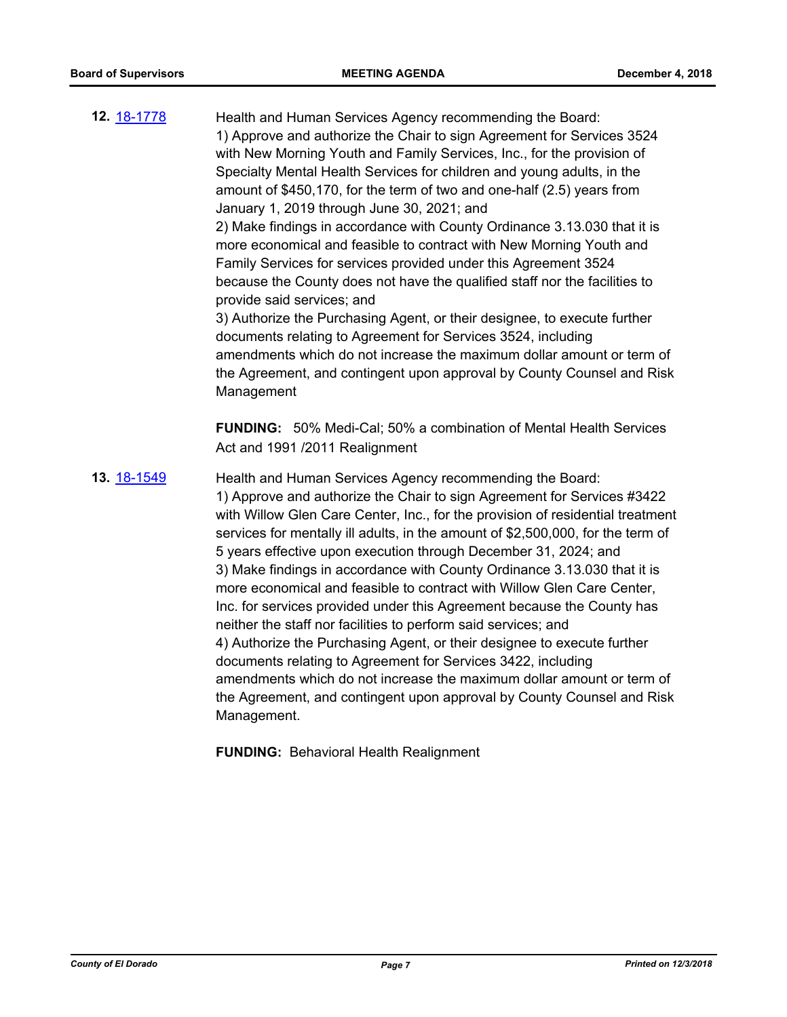- **12.** [18-1778](http://eldorado.legistar.com/gateway.aspx?m=l&id=/matter.aspx?key=25129) Health and Human Services Agency recommending the Board: 1) Approve and authorize the Chair to sign Agreement for Services 3524 with New Morning Youth and Family Services, Inc., for the provision of Specialty Mental Health Services for children and young adults, in the amount of \$450,170, for the term of two and one-half (2.5) years from January 1, 2019 through June 30, 2021; and 2) Make findings in accordance with County Ordinance 3.13.030 that it is more economical and feasible to contract with New Morning Youth and Family Services for services provided under this Agreement 3524 because the County does not have the qualified staff nor the facilities to provide said services; and 3) Authorize the Purchasing Agent, or their designee, to execute further documents relating to Agreement for Services 3524, including amendments which do not increase the maximum dollar amount or term of the Agreement, and contingent upon approval by County Counsel and Risk Management **FUNDING:** 50% Medi-Cal; 50% a combination of Mental Health Services Act and 1991 /2011 Realignment
- **13.** [18-1549](http://eldorado.legistar.com/gateway.aspx?m=l&id=/matter.aspx?key=24900) Health and Human Services Agency recommending the Board: 1) Approve and authorize the Chair to sign Agreement for Services #3422 with Willow Glen Care Center, Inc., for the provision of residential treatment services for mentally ill adults, in the amount of \$2,500,000, for the term of 5 years effective upon execution through December 31, 2024; and 3) Make findings in accordance with County Ordinance 3.13.030 that it is more economical and feasible to contract with Willow Glen Care Center, Inc. for services provided under this Agreement because the County has neither the staff nor facilities to perform said services; and 4) Authorize the Purchasing Agent, or their designee to execute further documents relating to Agreement for Services 3422, including amendments which do not increase the maximum dollar amount or term of the Agreement, and contingent upon approval by County Counsel and Risk Management.

**FUNDING:** Behavioral Health Realignment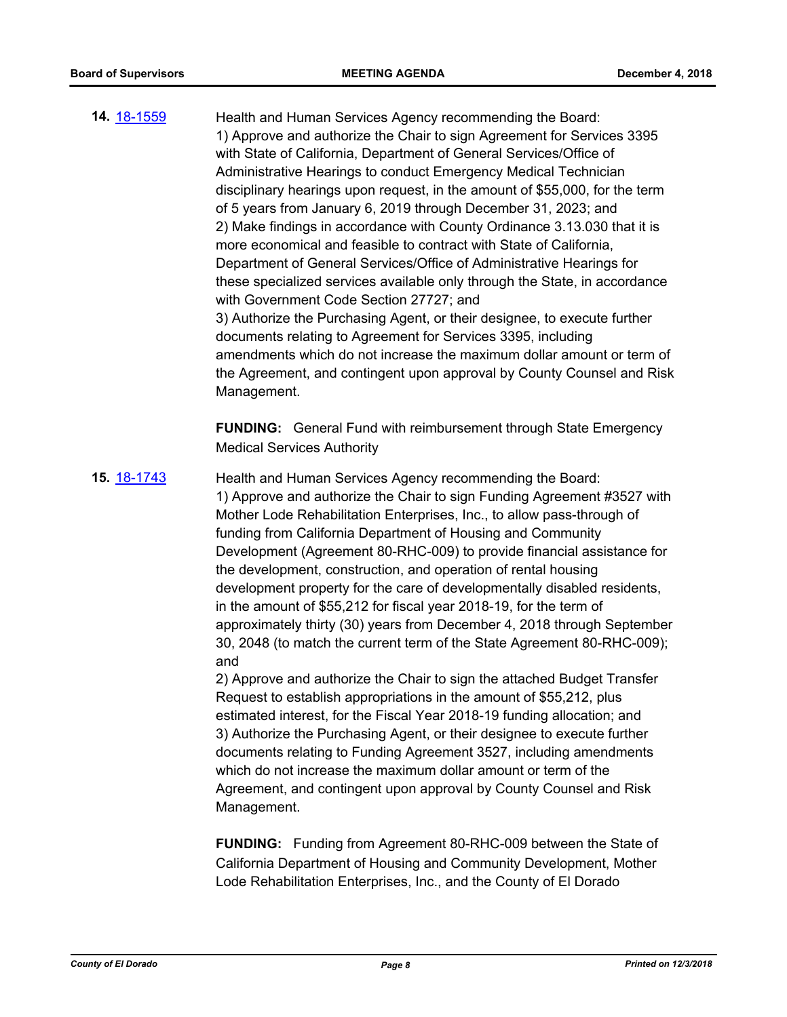**14.** [18-1559](http://eldorado.legistar.com/gateway.aspx?m=l&id=/matter.aspx?key=24910) Health and Human Services Agency recommending the Board: 1) Approve and authorize the Chair to sign Agreement for Services 3395 with State of California, Department of General Services/Office of Administrative Hearings to conduct Emergency Medical Technician disciplinary hearings upon request, in the amount of \$55,000, for the term of 5 years from January 6, 2019 through December 31, 2023; and 2) Make findings in accordance with County Ordinance 3.13.030 that it is more economical and feasible to contract with State of California, Department of General Services/Office of Administrative Hearings for these specialized services available only through the State, in accordance with Government Code Section 27727; and 3) Authorize the Purchasing Agent, or their designee, to execute further documents relating to Agreement for Services 3395, including amendments which do not increase the maximum dollar amount or term of the Agreement, and contingent upon approval by County Counsel and Risk Management.

> **FUNDING:** General Fund with reimbursement through State Emergency Medical Services Authority

**15.** [18-1743](http://eldorado.legistar.com/gateway.aspx?m=l&id=/matter.aspx?key=25094) Health and Human Services Agency recommending the Board: 1) Approve and authorize the Chair to sign Funding Agreement #3527 with Mother Lode Rehabilitation Enterprises, Inc., to allow pass-through of funding from California Department of Housing and Community Development (Agreement 80-RHC-009) to provide financial assistance for the development, construction, and operation of rental housing development property for the care of developmentally disabled residents, in the amount of \$55,212 for fiscal year 2018-19, for the term of approximately thirty (30) years from December 4, 2018 through September 30, 2048 (to match the current term of the State Agreement 80-RHC-009); and

> 2) Approve and authorize the Chair to sign the attached Budget Transfer Request to establish appropriations in the amount of \$55,212, plus estimated interest, for the Fiscal Year 2018-19 funding allocation; and 3) Authorize the Purchasing Agent, or their designee to execute further documents relating to Funding Agreement 3527, including amendments which do not increase the maximum dollar amount or term of the Agreement, and contingent upon approval by County Counsel and Risk Management.

> **FUNDING:** Funding from Agreement 80-RHC-009 between the State of California Department of Housing and Community Development, Mother Lode Rehabilitation Enterprises, Inc., and the County of El Dorado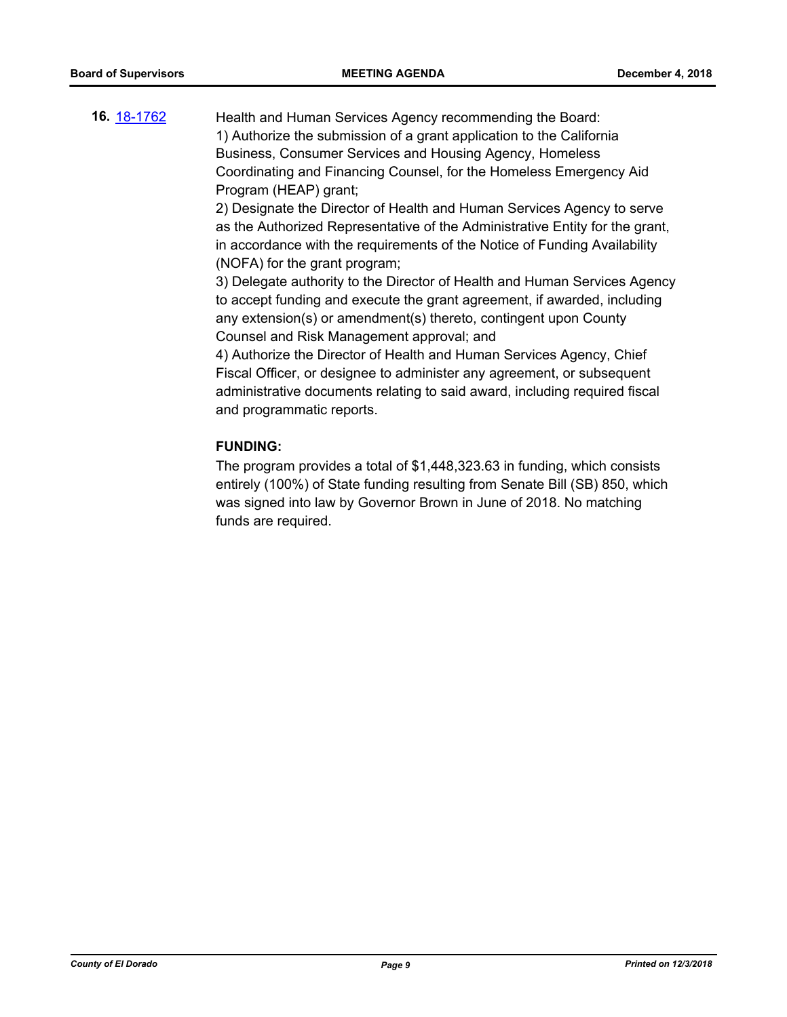**16.** [18-1762](http://eldorado.legistar.com/gateway.aspx?m=l&id=/matter.aspx?key=25113) Health and Human Services Agency recommending the Board: 1) Authorize the submission of a grant application to the California Business, Consumer Services and Housing Agency, Homeless Coordinating and Financing Counsel, for the Homeless Emergency Aid Program (HEAP) grant;

> 2) Designate the Director of Health and Human Services Agency to serve as the Authorized Representative of the Administrative Entity for the grant, in accordance with the requirements of the Notice of Funding Availability (NOFA) for the grant program;

3) Delegate authority to the Director of Health and Human Services Agency to accept funding and execute the grant agreement, if awarded, including any extension(s) or amendment(s) thereto, contingent upon County Counsel and Risk Management approval; and

4) Authorize the Director of Health and Human Services Agency, Chief Fiscal Officer, or designee to administer any agreement, or subsequent administrative documents relating to said award, including required fiscal and programmatic reports.

#### **FUNDING:**

The program provides a total of \$1,448,323.63 in funding, which consists entirely (100%) of State funding resulting from Senate Bill (SB) 850, which was signed into law by Governor Brown in June of 2018. No matching funds are required.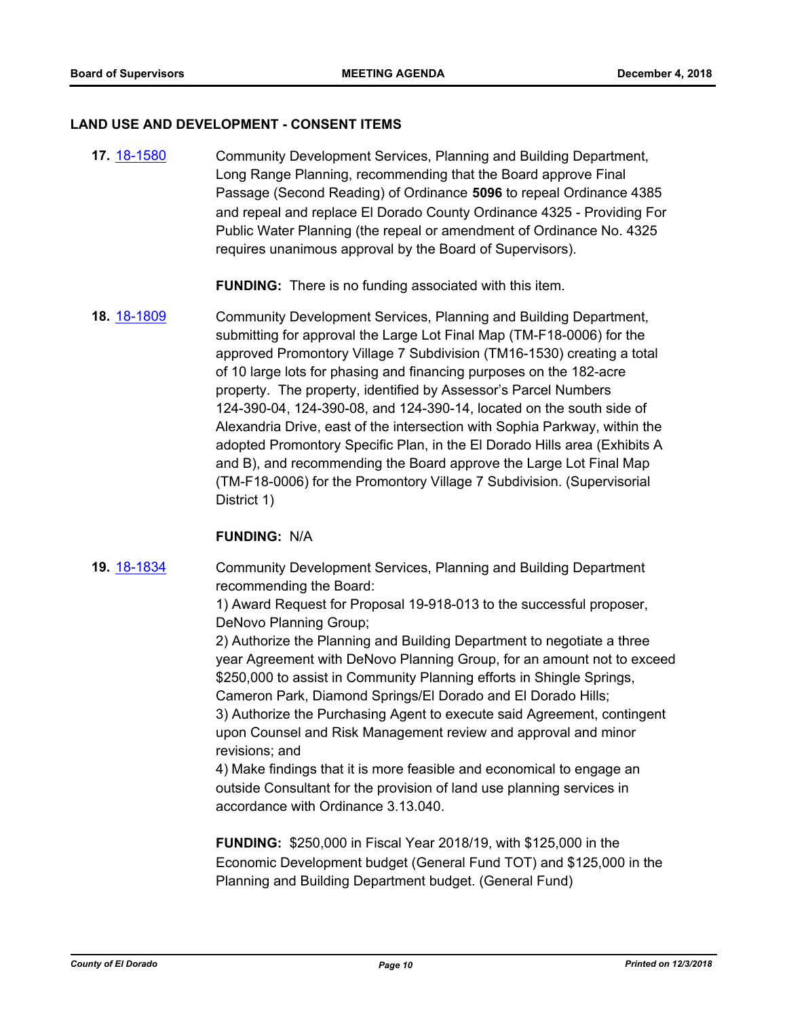#### **LAND USE AND DEVELOPMENT - CONSENT ITEMS**

**17.** [18-1580](http://eldorado.legistar.com/gateway.aspx?m=l&id=/matter.aspx?key=24931) Community Development Services, Planning and Building Department, Long Range Planning, recommending that the Board approve Final Passage (Second Reading) of Ordinance **5096** to repeal Ordinance 4385 and repeal and replace El Dorado County Ordinance 4325 - Providing For Public Water Planning (the repeal or amendment of Ordinance No. 4325 requires unanimous approval by the Board of Supervisors).

**FUNDING:** There is no funding associated with this item.

**18.** [18-1809](http://eldorado.legistar.com/gateway.aspx?m=l&id=/matter.aspx?key=25160) Community Development Services, Planning and Building Department, submitting for approval the Large Lot Final Map (TM-F18-0006) for the approved Promontory Village 7 Subdivision (TM16-1530) creating a total of 10 large lots for phasing and financing purposes on the 182-acre property. The property, identified by Assessor's Parcel Numbers 124-390-04, 124-390-08, and 124-390-14, located on the south side of Alexandria Drive, east of the intersection with Sophia Parkway, within the adopted Promontory Specific Plan, in the El Dorado Hills area (Exhibits A and B), and recommending the Board approve the Large Lot Final Map (TM-F18-0006) for the Promontory Village 7 Subdivision. (Supervisorial District 1)

## **FUNDING:** N/A

**19.** [18-1834](http://eldorado.legistar.com/gateway.aspx?m=l&id=/matter.aspx?key=25063) Community Development Services, Planning and Building Department recommending the Board:

> 1) Award Request for Proposal 19-918-013 to the successful proposer, DeNovo Planning Group;

2) Authorize the Planning and Building Department to negotiate a three year Agreement with DeNovo Planning Group, for an amount not to exceed \$250,000 to assist in Community Planning efforts in Shingle Springs, Cameron Park, Diamond Springs/El Dorado and El Dorado Hills; 3) Authorize the Purchasing Agent to execute said Agreement, contingent upon Counsel and Risk Management review and approval and minor revisions; and

4) Make findings that it is more feasible and economical to engage an outside Consultant for the provision of land use planning services in accordance with Ordinance 3.13.040.

**FUNDING:** \$250,000 in Fiscal Year 2018/19, with \$125,000 in the Economic Development budget (General Fund TOT) and \$125,000 in the Planning and Building Department budget. (General Fund)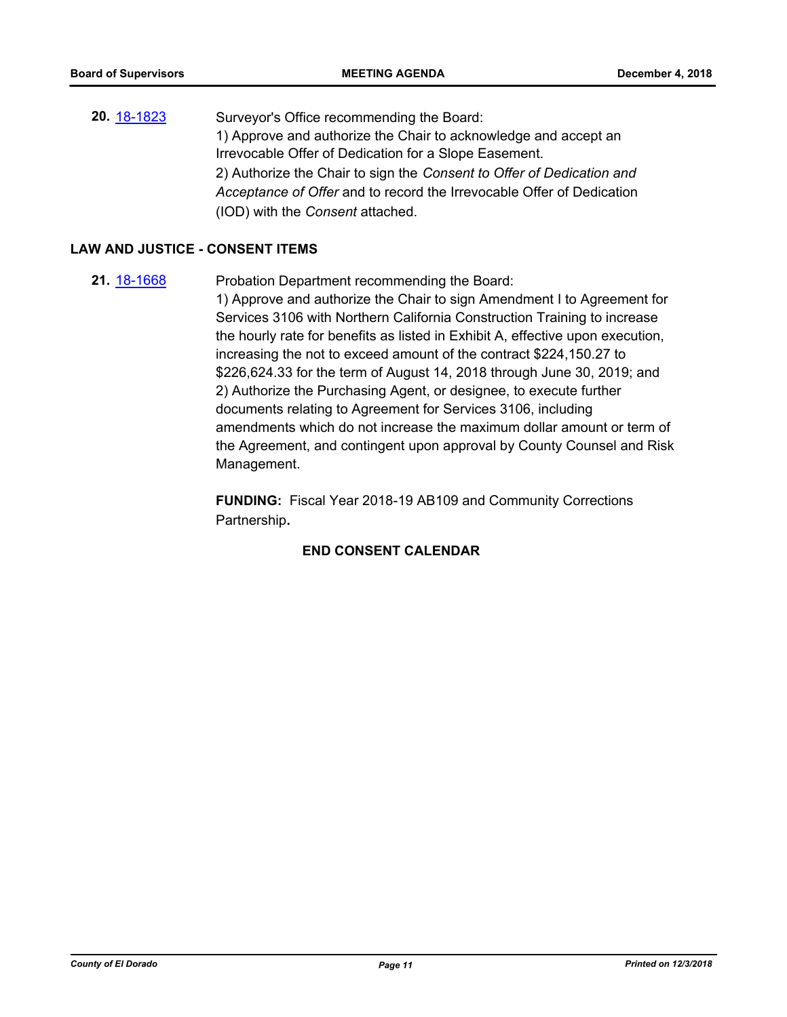**20.** [18-1823](http://eldorado.legistar.com/gateway.aspx?m=l&id=/matter.aspx?key=25174) Surveyor's Office recommending the Board: 1) Approve and authorize the Chair to acknowledge and accept an Irrevocable Offer of Dedication for a Slope Easement. 2) Authorize the Chair to sign the *Consent to Offer of Dedication and Acceptance of Offer* and to record the Irrevocable Offer of Dedication (IOD) with the *Consent* attached.

#### **LAW AND JUSTICE - CONSENT ITEMS**

**21.** [18-1668](http://eldorado.legistar.com/gateway.aspx?m=l&id=/matter.aspx?key=25019) Probation Department recommending the Board: 1) Approve and authorize the Chair to sign Amendment I to Agreement for Services 3106 with Northern California Construction Training to increase the hourly rate for benefits as listed in Exhibit A, effective upon execution, increasing the not to exceed amount of the contract \$224,150.27 to \$226,624.33 for the term of August 14, 2018 through June 30, 2019; and 2) Authorize the Purchasing Agent, or designee, to execute further documents relating to Agreement for Services 3106, including amendments which do not increase the maximum dollar amount or term of the Agreement, and contingent upon approval by County Counsel and Risk Management.

> **FUNDING:** Fiscal Year 2018-19 AB109 and Community Corrections Partnership**.**

## **END CONSENT CALENDAR**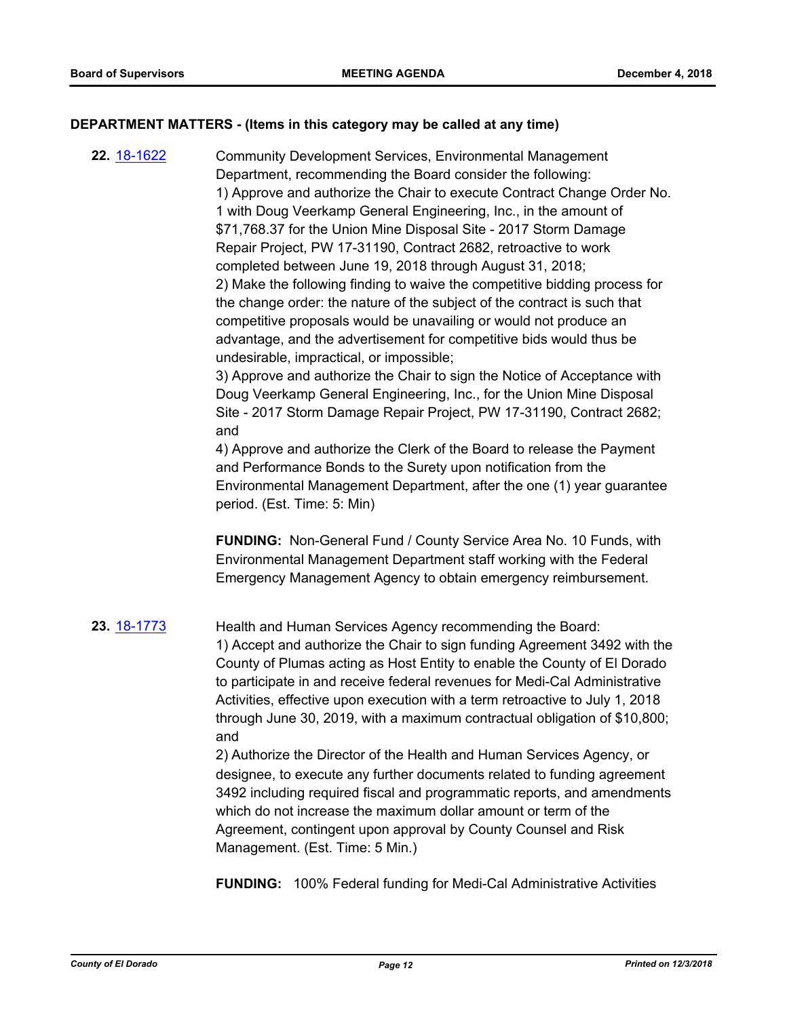#### **DEPARTMENT MATTERS - (Items in this category may be called at any time)**

**22.** [18-1622](http://eldorado.legistar.com/gateway.aspx?m=l&id=/matter.aspx?key=24973) Community Development Services, Environmental Management Department, recommending the Board consider the following: 1) Approve and authorize the Chair to execute Contract Change Order No. 1 with Doug Veerkamp General Engineering, Inc., in the amount of \$71,768.37 for the Union Mine Disposal Site - 2017 Storm Damage Repair Project, PW 17-31190, Contract 2682, retroactive to work completed between June 19, 2018 through August 31, 2018; 2) Make the following finding to waive the competitive bidding process for the change order: the nature of the subject of the contract is such that competitive proposals would be unavailing or would not produce an advantage, and the advertisement for competitive bids would thus be undesirable, impractical, or impossible; 3) Approve and authorize the Chair to sign the Notice of Acceptance with Doug Veerkamp General Engineering, Inc., for the Union Mine Disposal Site - 2017 Storm Damage Repair Project, PW 17-31190, Contract 2682; and 4) Approve and authorize the Clerk of the Board to release the Payment and Performance Bonds to the Surety upon notification from the Environmental Management Department, after the one (1) year guarantee period. (Est. Time: 5: Min) **FUNDING:** Non-General Fund / County Service Area No. 10 Funds, with Environmental Management Department staff working with the Federal Emergency Management Agency to obtain emergency reimbursement. **23.** [18-1773](http://eldorado.legistar.com/gateway.aspx?m=l&id=/matter.aspx?key=25124) Health and Human Services Agency recommending the Board: 1) Accept and authorize the Chair to sign funding Agreement 3492 with the County of Plumas acting as Host Entity to enable the County of El Dorado to participate in and receive federal revenues for Medi-Cal Administrative Activities, effective upon execution with a term retroactive to July 1, 2018 through June 30, 2019, with a maximum contractual obligation of \$10,800; and 2) Authorize the Director of the Health and Human Services Agency, or designee, to execute any further documents related to funding agreement 3492 including required fiscal and programmatic reports, and amendments which do not increase the maximum dollar amount or term of the Agreement, contingent upon approval by County Counsel and Risk Management. (Est. Time: 5 Min.)

**FUNDING:** 100% Federal funding for Medi-Cal Administrative Activities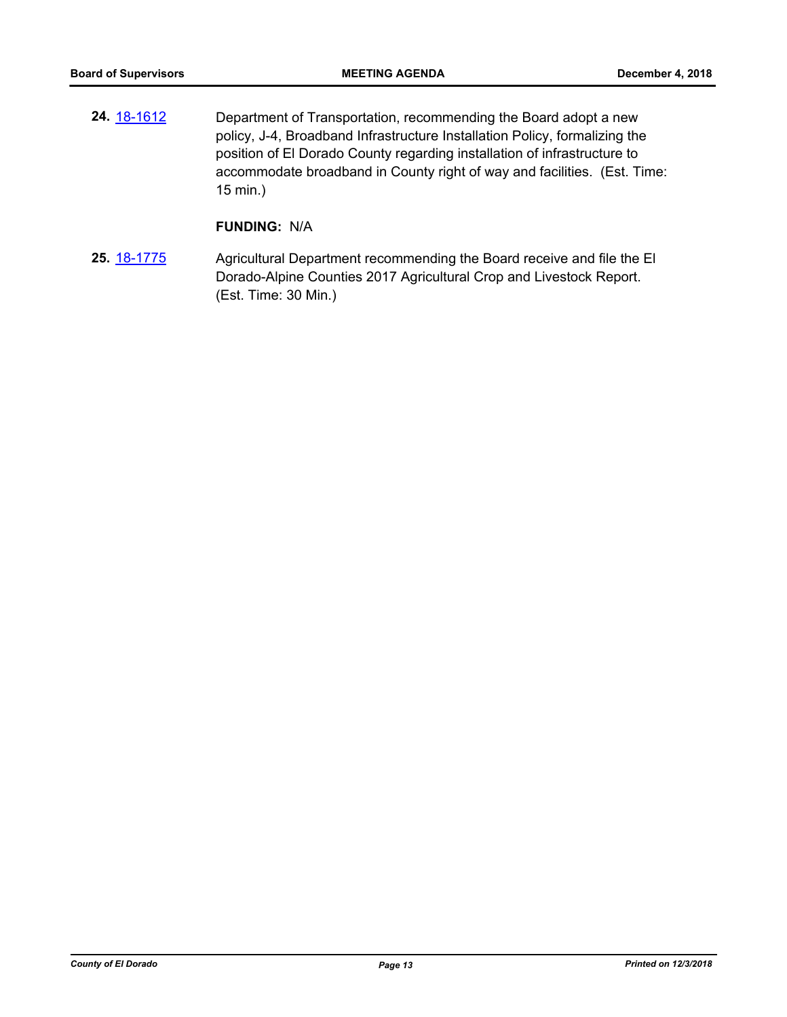**24.** [18-1612](http://eldorado.legistar.com/gateway.aspx?m=l&id=/matter.aspx?key=24963) Department of Transportation, recommending the Board adopt a new policy, J-4, Broadband Infrastructure Installation Policy, formalizing the position of El Dorado County regarding installation of infrastructure to accommodate broadband in County right of way and facilities. (Est. Time: 15 min.)

## **FUNDING:** N/A

**25.** [18-1775](http://eldorado.legistar.com/gateway.aspx?m=l&id=/matter.aspx?key=25126) Agricultural Department recommending the Board receive and file the El Dorado-Alpine Counties 2017 Agricultural Crop and Livestock Report. (Est. Time: 30 Min.)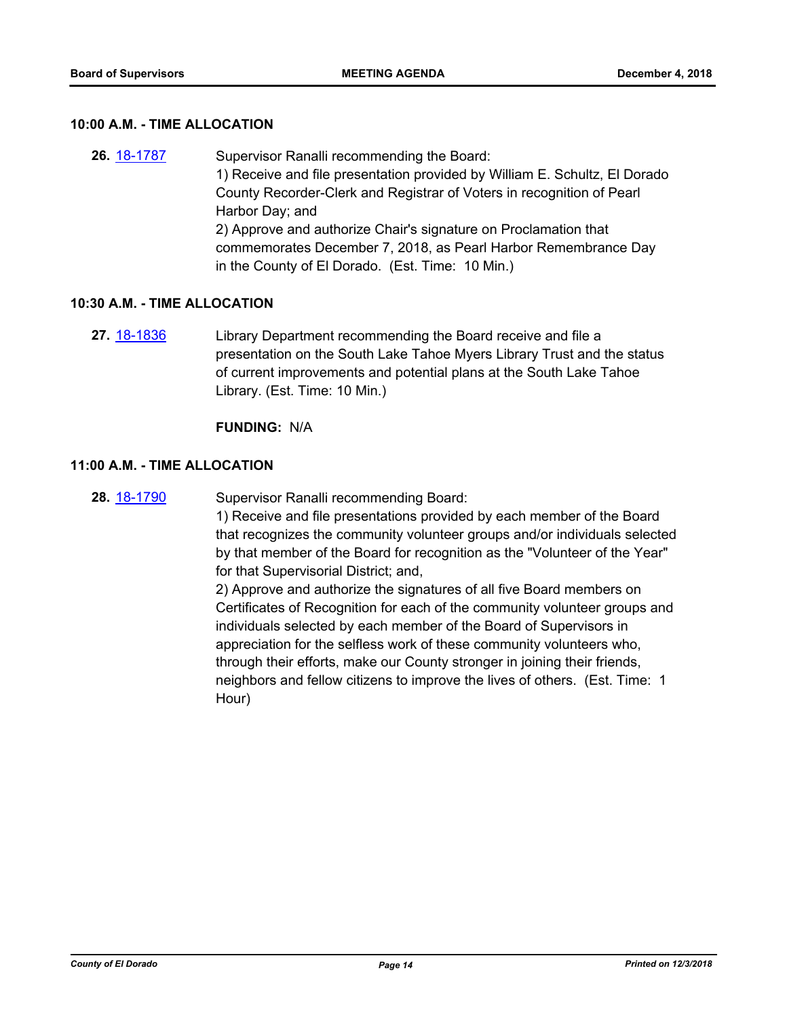#### **10:00 A.M. - TIME ALLOCATION**

**26.** [18-1787](http://eldorado.legistar.com/gateway.aspx?m=l&id=/matter.aspx?key=25138) Supervisor Ranalli recommending the Board: 1) Receive and file presentation provided by William E. Schultz, El Dorado County Recorder-Clerk and Registrar of Voters in recognition of Pearl Harbor Day; and 2) Approve and authorize Chair's signature on Proclamation that commemorates December 7, 2018, as Pearl Harbor Remembrance Day in the County of El Dorado. (Est. Time: 10 Min.)

#### **10:30 A.M. - TIME ALLOCATION**

**27.** [18-1836](http://eldorado.legistar.com/gateway.aspx?m=l&id=/matter.aspx?key=25186) Library Department recommending the Board receive and file a presentation on the South Lake Tahoe Myers Library Trust and the status of current improvements and potential plans at the South Lake Tahoe Library. (Est. Time: 10 Min.)

#### **FUNDING:** N/A

#### **11:00 A.M. - TIME ALLOCATION**

**28.** [18-1790](http://eldorado.legistar.com/gateway.aspx?m=l&id=/matter.aspx?key=25141) Supervisor Ranalli recommending Board:

1) Receive and file presentations provided by each member of the Board that recognizes the community volunteer groups and/or individuals selected by that member of the Board for recognition as the "Volunteer of the Year" for that Supervisorial District; and,

2) Approve and authorize the signatures of all five Board members on Certificates of Recognition for each of the community volunteer groups and individuals selected by each member of the Board of Supervisors in appreciation for the selfless work of these community volunteers who, through their efforts, make our County stronger in joining their friends, neighbors and fellow citizens to improve the lives of others. (Est. Time: 1 Hour)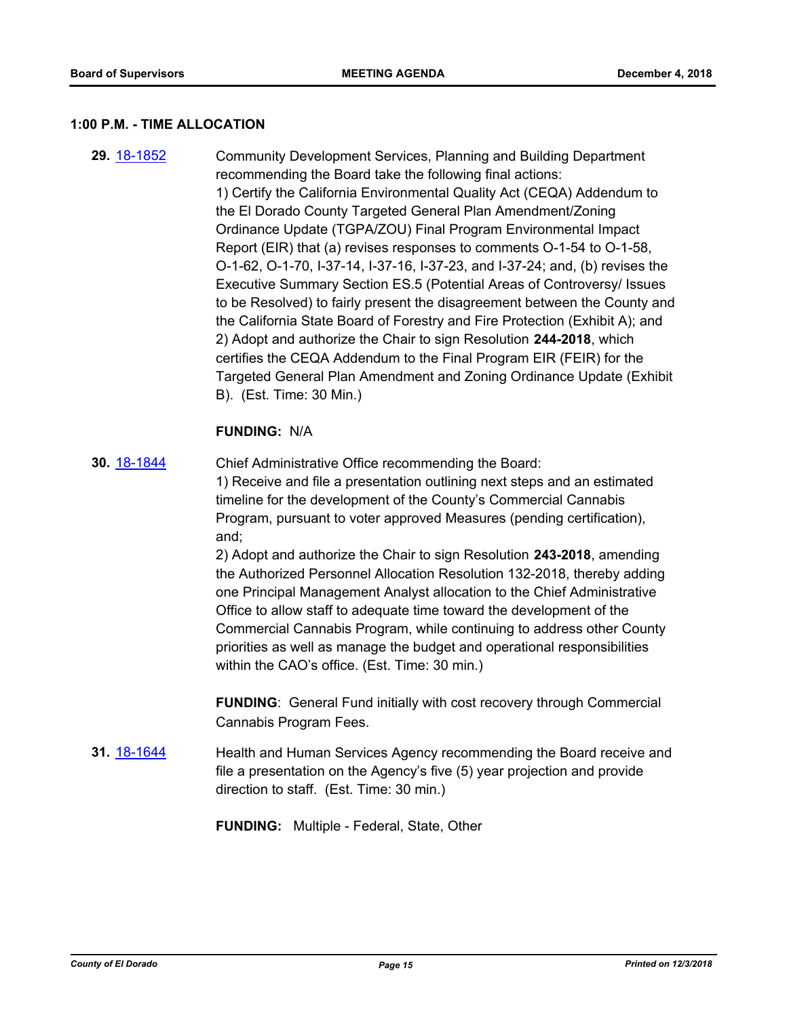#### **1:00 P.M. - TIME ALLOCATION**

**29.** [18-1852](http://eldorado.legistar.com/gateway.aspx?m=l&id=/matter.aspx?key=25202) Community Development Services, Planning and Building Department recommending the Board take the following final actions: 1) Certify the California Environmental Quality Act (CEQA) Addendum to the El Dorado County Targeted General Plan Amendment/Zoning Ordinance Update (TGPA/ZOU) Final Program Environmental Impact Report (EIR) that (a) revises responses to comments O-1-54 to O-1-58, O-1-62, O-1-70, I-37-14, I-37-16, I-37-23, and I-37-24; and, (b) revises the Executive Summary Section ES.5 (Potential Areas of Controversy/ Issues to be Resolved) to fairly present the disagreement between the County and the California State Board of Forestry and Fire Protection (Exhibit A); and 2) Adopt and authorize the Chair to sign Resolution **244-2018**, which certifies the CEQA Addendum to the Final Program EIR (FEIR) for the Targeted General Plan Amendment and Zoning Ordinance Update (Exhibit B). (Est. Time: 30 Min.)

#### **FUNDING:** N/A

**30.** [18-1844](http://eldorado.legistar.com/gateway.aspx?m=l&id=/matter.aspx?key=25194) Chief Administrative Office recommending the Board: 1) Receive and file a presentation outlining next steps and an estimated timeline for the development of the County's Commercial Cannabis Program, pursuant to voter approved Measures (pending certification), and; 2) Adopt and authorize the Chair to sign Resolution **243-2018**, amending

the Authorized Personnel Allocation Resolution 132-2018, thereby adding one Principal Management Analyst allocation to the Chief Administrative Office to allow staff to adequate time toward the development of the Commercial Cannabis Program, while continuing to address other County priorities as well as manage the budget and operational responsibilities within the CAO's office. (Est. Time: 30 min.)

**FUNDING**: General Fund initially with cost recovery through Commercial Cannabis Program Fees.

**31.** [18-1644](http://eldorado.legistar.com/gateway.aspx?m=l&id=/matter.aspx?key=24995) **Health and Human Services Agency recommending the Board receive and** file a presentation on the Agency's five (5) year projection and provide direction to staff. (Est. Time: 30 min.)

**FUNDING:** Multiple - Federal, State, Other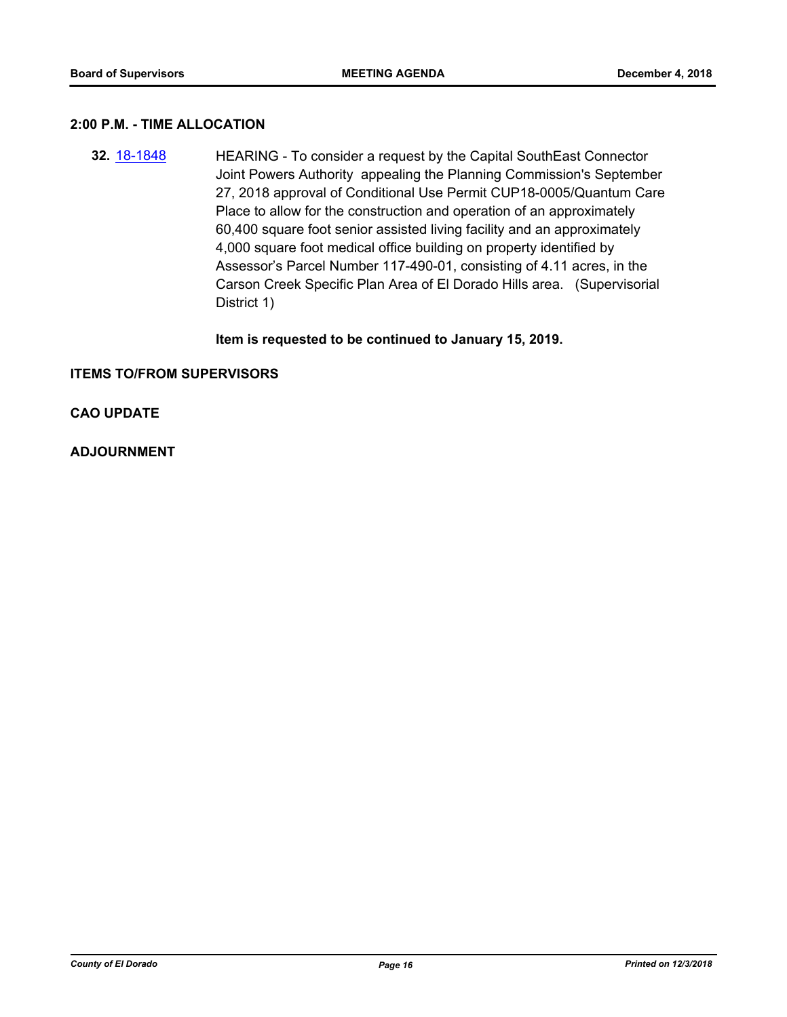#### **2:00 P.M. - TIME ALLOCATION**

**32.** [18-1848](http://eldorado.legistar.com/gateway.aspx?m=l&id=/matter.aspx?key=25198) HEARING - To consider a request by the Capital SouthEast Connector Joint Powers Authority appealing the Planning Commission's September 27, 2018 approval of Conditional Use Permit CUP18-0005/Quantum Care Place to allow for the construction and operation of an approximately 60,400 square foot senior assisted living facility and an approximately 4,000 square foot medical office building on property identified by Assessor's Parcel Number 117-490-01, consisting of 4.11 acres, in the Carson Creek Specific Plan Area of El Dorado Hills area. (Supervisorial District 1)

#### **Item is requested to be continued to January 15, 2019.**

#### **ITEMS TO/FROM SUPERVISORS**

## **CAO UPDATE**

#### **ADJOURNMENT**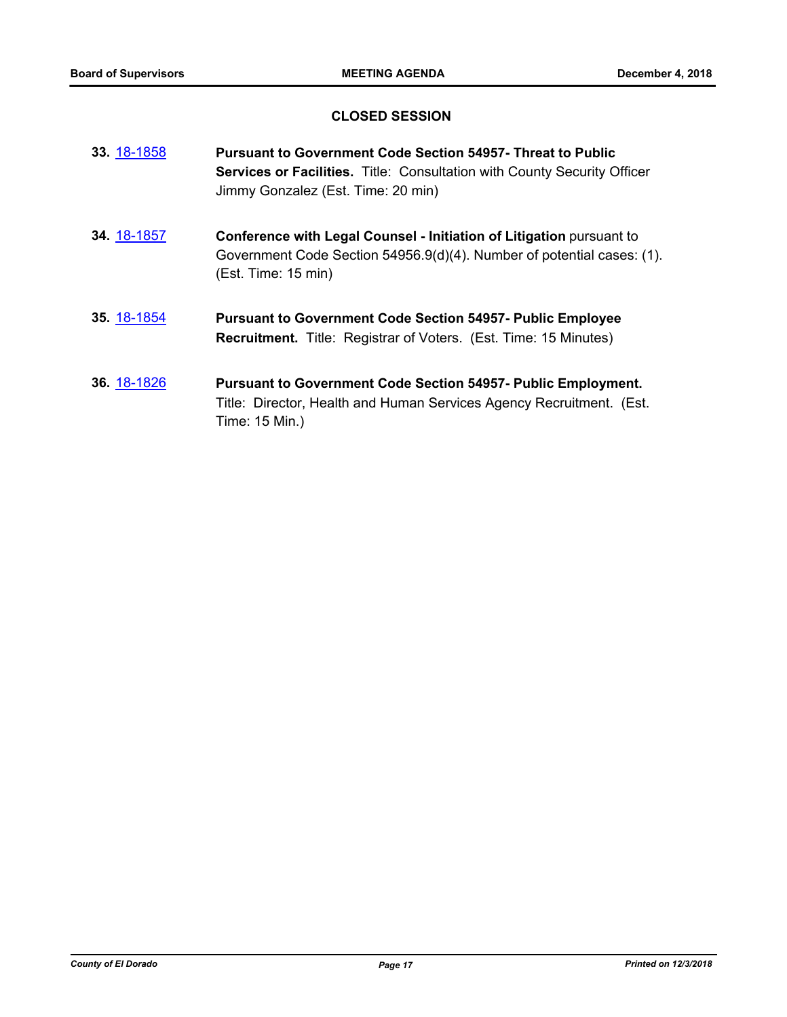## **CLOSED SESSION**

| 33. 18-1858 | <b>Pursuant to Government Code Section 54957- Threat to Public</b><br><b>Services or Facilities.</b> Title: Consultation with County Security Officer<br>Jimmy Gonzalez (Est. Time: 20 min) |
|-------------|---------------------------------------------------------------------------------------------------------------------------------------------------------------------------------------------|
| 34. 18-1857 | Conference with Legal Counsel - Initiation of Litigation pursuant to<br>Government Code Section 54956.9(d)(4). Number of potential cases: (1).<br>(Est. Time: 15 min)                       |
| 35. 18-1854 | <b>Pursuant to Government Code Section 54957- Public Employee</b><br><b>Recruitment.</b> Title: Registrar of Voters. (Est. Time: 15 Minutes)                                                |
| 36. 18-1826 | <b>Pursuant to Government Code Section 54957- Public Employment.</b><br>Title: Director, Health and Human Services Agency Recruitment. (Est.<br>Time: 15 Min.)                              |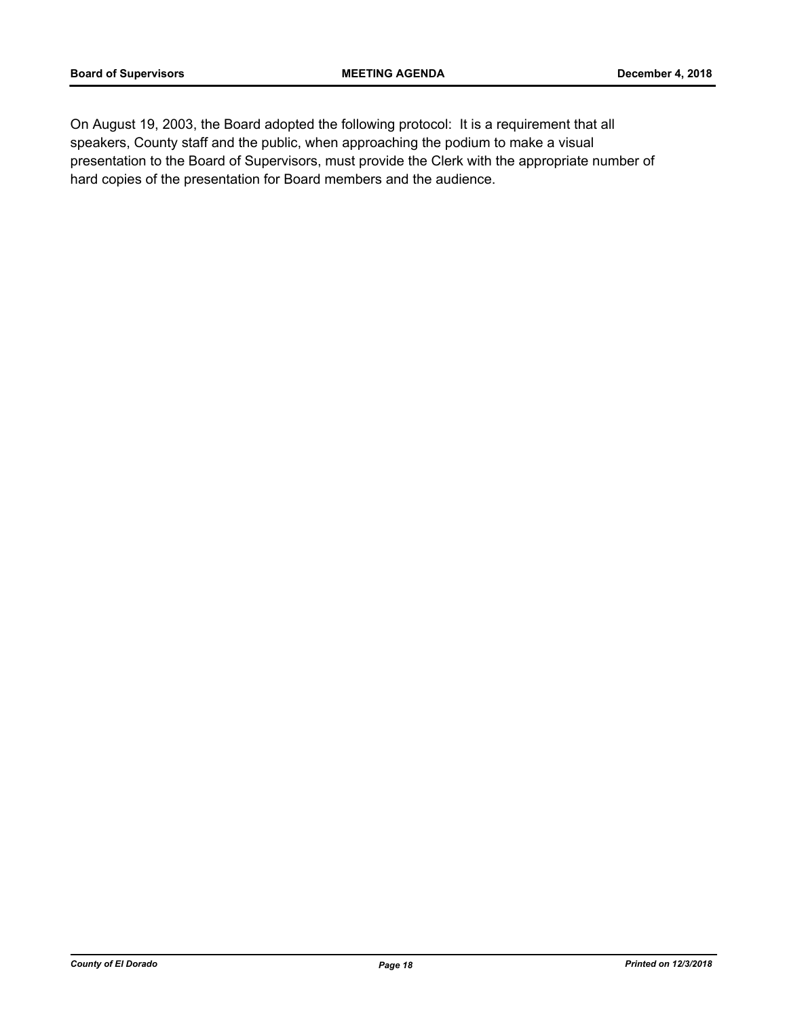On August 19, 2003, the Board adopted the following protocol: It is a requirement that all speakers, County staff and the public, when approaching the podium to make a visual presentation to the Board of Supervisors, must provide the Clerk with the appropriate number of hard copies of the presentation for Board members and the audience.